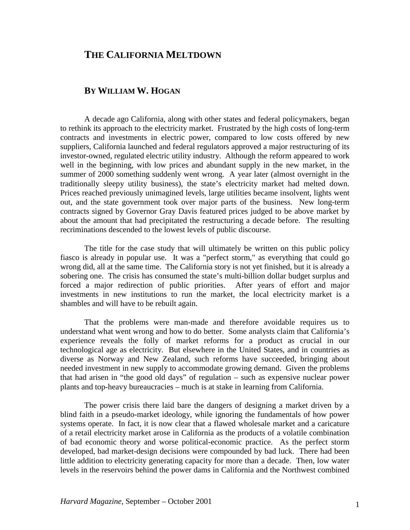## **THE CALIFORNIA MELTDOWN**

## **BY WILLIAM W. HOGAN**

A decade ago California, along with other states and federal policymakers, began to rethink its approach to the electricity market. Frustrated by the high costs of long-term contracts and investments in electric power, compared to low costs offered by new suppliers, California launched and federal regulators approved a major restructuring of its investor-owned, regulated electric utility industry. Although the reform appeared to work well in the beginning, with low prices and abundant supply in the new market, in the summer of 2000 something suddenly went wrong. A year later (almost overnight in the traditionally sleepy utility business), the state's electricity market had melted down. Prices reached previously unimagined levels, large utilities became insolvent, lights went out, and the state government took over major parts of the business. New long-term contracts signed by Governor Gray Davis featured prices judged to be above market by about the amount that had precipitated the restructuring a decade before. The resulting recriminations descended to the lowest levels of public discourse.

The title for the case study that will ultimately be written on this public policy fiasco is already in popular use. It was a "perfect storm," as everything that could go wrong did, all at the same time. The California story is not yet finished, but it is already a sobering one. The crisis has consumed the state's multi-billion dollar budget surplus and forced a major redirection of public priorities. After years of effort and major investments in new institutions to run the market, the local electricity market is a shambles and will have to be rebuilt again.

That the problems were man-made and therefore avoidable requires us to understand what went wrong and how to do better. Some analysts claim that California's experience reveals the folly of market reforms for a product as crucial in our technological age as electricity. But elsewhere in the United States, and in countries as diverse as Norway and New Zealand, such reforms have succeeded, bringing about needed investment in new supply to accommodate growing demand. Given the problems that had arisen in "the good old days" of regulation – such as expensive nuclear power plants and top-heavy bureaucracies – much is at stake in learning from California.

The power crisis there laid bare the dangers of designing a market driven by a blind faith in a pseudo-market ideology, while ignoring the fundamentals of how power systems operate. In fact, it is now clear that a flawed wholesale market and a caricature of a retail electricity market arose in California as the products of a volatile combination of bad economic theory and worse political-economic practice. As the perfect storm developed, bad market-design decisions were compounded by bad luck. There had been little addition to electricity generating capacity for more than a decade. Then, low water levels in the reservoirs behind the power dams in California and the Northwest combined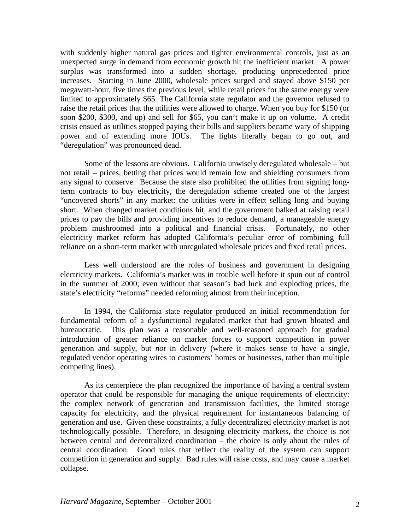with suddenly higher natural gas prices and tighter environmental controls, just as an unexpected surge in demand from economic growth hit the inefficient market. A power surplus was transformed into a sudden shortage, producing unprecedented price increases. Starting in June 2000, wholesale prices surged and stayed above \$150 per megawatt-hour, five times the previous level, while retail prices for the same energy were limited to approximately \$65. The California state regulator and the governor refused to raise the retail prices that the utilities were allowed to charge. When you buy for \$150 (or soon \$200, \$300, and up) and sell for \$65, you can't make it up on volume. A credit crisis ensued as utilities stopped paying their bills and suppliers became wary of shipping power and of extending more IOUs. The lights literally began to go out, and "deregulation" was pronounced dead.

Some of the lessons are obvious. California unwisely deregulated wholesale – but not retail – prices, betting that prices would remain low and shielding consumers from any signal to conserve. Because the state also prohibited the utilities from signing longterm contracts to buy electricity, the deregulation scheme created one of the largest "uncovered shorts" in any market: the utilities were in effect selling long and buying short. When changed market conditions hit, and the government balked at raising retail prices to pay the bills and providing incentives to reduce demand, a manageable energy problem mushroomed into a political and financial crisis. Fortunately, no other electricity market reform has adopted California's peculiar error of combining full reliance on a short-term market with unregulated wholesale prices and fixed retail prices.

Less well understood are the roles of business and government in designing electricity markets. California's market was in trouble well before it spun out of control in the summer of 2000; even without that season's bad luck and exploding prices, the state's electricity "reforms" needed reforming almost from their inception.

In 1994, the California state regulator produced an initial recommendation for fundamental reform of a dysfunctional regulated market that had grown bloated and bureaucratic. This plan was a reasonable and well-reasoned approach for gradual introduction of greater reliance on market forces to support competition in power generation and supply, but *not* in delivery (where it makes sense to have a single, regulated vendor operating wires to customers' homes or businesses, rather than multiple competing lines).

As its centerpiece the plan recognized the importance of having a central system operator that could be responsible for managing the unique requirements of electricity: the complex network of generation and transmission facilities, the limited storage capacity for electricity, and the physical requirement for instantaneous balancing of generation and use. Given these constraints, a fully decentralized electricity market is not technologically possible. Therefore, in designing electricity markets, the choice is not between central and decentralized coordination – the choice is only about the rules of central coordination. Good rules that reflect the reality of the system can support competition in generation and supply. Bad rules will raise costs, and may cause a market collapse.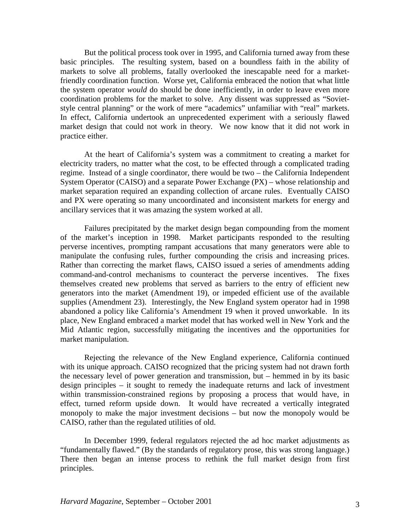But the political process took over in 1995, and California turned away from these basic principles. The resulting system, based on a boundless faith in the ability of markets to solve all problems, fatally overlooked the inescapable need for a marketfriendly coordination function. Worse yet, California embraced the notion that what little the system operator *would* do should be done inefficiently, in order to leave even more coordination problems for the market to solve. Any dissent was suppressed as "Sovietstyle central planning" or the work of mere "academics" unfamiliar with "real" markets. In effect, California undertook an unprecedented experiment with a seriously flawed market design that could not work in theory. We now know that it did not work in practice either.

At the heart of California's system was a commitment to creating a market for electricity traders, no matter what the cost, to be effected through a complicated trading regime. Instead of a single coordinator, there would be two – the California Independent System Operator (CAISO) and a separate Power Exchange (PX) – whose relationship and market separation required an expanding collection of arcane rules. Eventually CAISO and PX were operating so many uncoordinated and inconsistent markets for energy and ancillary services that it was amazing the system worked at all.

Failures precipitated by the market design began compounding from the moment of the market's inception in 1998. Market participants responded to the resulting perverse incentives, prompting rampant accusations that many generators were able to manipulate the confusing rules, further compounding the crisis and increasing prices. Rather than correcting the market flaws, CAISO issued a series of amendments adding command-and-control mechanisms to counteract the perverse incentives. The fixes themselves created new problems that served as barriers to the entry of efficient new generators into the market (Amendment 19), or impeded efficient use of the available supplies (Amendment 23). Interestingly, the New England system operator had in 1998 abandoned a policy like California's Amendment 19 when it proved unworkable. In its place, New England embraced a market model that has worked well in New York and the Mid Atlantic region, successfully mitigating the incentives and the opportunities for market manipulation.

Rejecting the relevance of the New England experience, California continued with its unique approach. CAISO recognized that the pricing system had not drawn forth the necessary level of power generation and transmission, but – hemmed in by its basic design principles – it sought to remedy the inadequate returns and lack of investment within transmission-constrained regions by proposing a process that would have, in effect, turned reform upside down. It would have recreated a vertically integrated monopoly to make the major investment decisions – but now the monopoly would be CAISO, rather than the regulated utilities of old.

In December 1999, federal regulators rejected the ad hoc market adjustments as "fundamentally flawed." (By the standards of regulatory prose, this was strong language.) There then began an intense process to rethink the full market design from first principles.